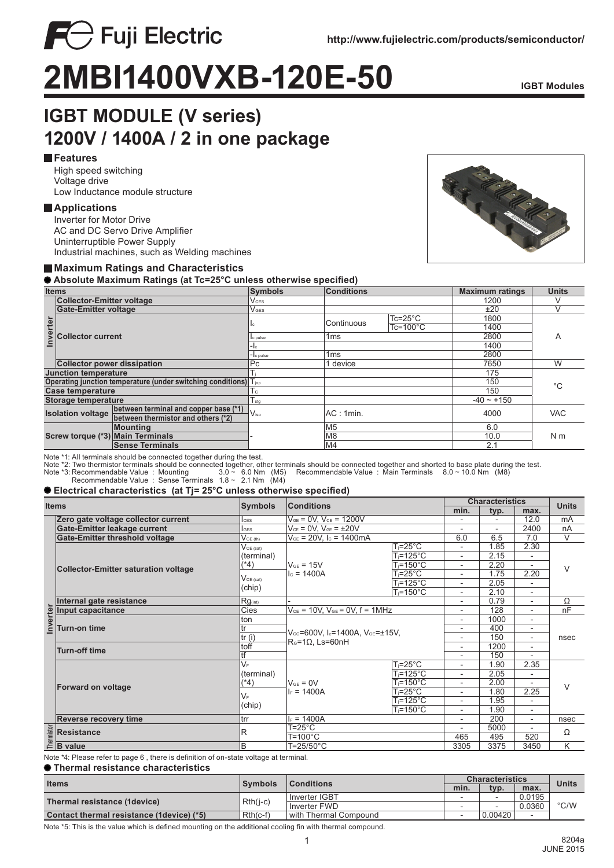

# **2MBI1400VXB-120E-50 IGBT Modules**

# **IGBT MODULE (V series) 1200V / 1400A / 2 in one package**

# **Features**

High speed switching Voltage drive Low Inductance module structure

**FC** Fuji Electric

# **Applications**

Inverter for Motor Drive AC and DC Servo Drive Amplifier Uninterruptible Power Supply Industrial machines, such as Welding machines

# **Maximum Ratings and Characteristics**

 **Absolute Maximum Ratings (at Tc=25°C unless otherwise specified)**

| <b>Items</b>                                                                                            |                                              | <b>Symbols</b>         | <b>Conditions</b>       |                 |                     | <b>Units</b>    |                |  |
|---------------------------------------------------------------------------------------------------------|----------------------------------------------|------------------------|-------------------------|-----------------|---------------------|-----------------|----------------|--|
|                                                                                                         | <b>Collector-Emitter voltage</b>             |                        | <b>V</b> <sub>CES</sub> |                 |                     | 1200            |                |  |
| nverter                                                                                                 | <b>Gate-Emitter voltage</b>                  |                        | <b>V</b> GES            |                 |                     | ±20             |                |  |
|                                                                                                         | <b>Collector current</b>                     |                        | ıс                      | Continuous      | $Tc = 25^{\circ}C$  | 1800            |                |  |
|                                                                                                         |                                              |                        |                         |                 | $Tc = 100^{\circ}C$ | 1400            |                |  |
|                                                                                                         |                                              |                        | c pulse                 | 1 <sub>ms</sub> |                     | 2800            | Α              |  |
|                                                                                                         |                                              |                        |                         |                 |                     |                 |                |  |
|                                                                                                         |                                              |                        | -Ic pulse               | 1 <sub>ms</sub> |                     |                 |                |  |
|                                                                                                         | <b>Collector power dissipation</b>           |                        | Pc                      | 1 device        |                     |                 | W              |  |
| <b>Junction temperature</b>                                                                             |                                              |                        |                         |                 |                     |                 | $^{\circ}C$    |  |
| Operating junction temperature (under switching conditions) Tjop                                        |                                              |                        |                         |                 |                     |                 |                |  |
| <b>Case temperature</b>                                                                                 |                                              |                        | $\mathsf{L}$            |                 |                     |                 |                |  |
| Storage temperature                                                                                     |                                              |                        | Isto                    |                 |                     | $-40 \sim +150$ |                |  |
| between terminal and copper base (*1)<br><b>Isolation voltage</b><br>between thermistor and others (*2) |                                              | $V_{\rm iso}$          |                         | AC:1min.        |                     | <b>VAC</b>      |                |  |
|                                                                                                         |                                              |                        |                         |                 |                     |                 |                |  |
|                                                                                                         | Mountina<br>Screw torque (*3) Main Terminals |                        |                         | M5              |                     |                 | N <sub>m</sub> |  |
|                                                                                                         |                                              |                        |                         | M8              |                     |                 |                |  |
|                                                                                                         |                                              | <b>Sense Terminals</b> |                         | M4              |                     |                 |                |  |

Note \*1: All terminals should be connected together during the test.

Note \*2: Two thermistor terminals should be connected together, other terminals should be connected together and shorted to base plate during the test.<br>Note \*3: Recommendable Value : Mounting 3.0 ~ 6.0 Nm (M5) Recommen

# **Electrical characteristics (at Tj= 25°C unless otherwise specified)**

| <b>Items</b> |                                                     |                                                  |                                                                                         |                       | <b>Characteristics</b>       |                          |                          |                         |
|--------------|-----------------------------------------------------|--------------------------------------------------|-----------------------------------------------------------------------------------------|-----------------------|------------------------------|--------------------------|--------------------------|-------------------------|
|              |                                                     | <b>Symbols</b><br><b>Conditions</b>              |                                                                                         |                       | min.                         | typ.                     | max.                     | <b>Units</b>            |
|              | Zero gate voltage collector current                 | $V_{GE} = 0V$ , $V_{CE} = 1200V$<br><b>I</b> ces |                                                                                         |                       | $\overline{\phantom{a}}$     | $\overline{\phantom{a}}$ | 12.0                     | mA                      |
|              | Gate-Emitter leakage current                        | lges                                             | $V_{CE} = 0V$ , $V_{GE} = \pm 20V$                                                      |                       |                              | $\overline{a}$           | 2400                     | nA                      |
|              | Gate-Emitter threshold voltage                      | $V_{GE(th)}$                                     | $V_{CE}$ = 20V, $I_c$ = 1400mA                                                          |                       | 6.0                          | 6.5                      | 7.0                      | V                       |
|              | <b>Collector-Emitter saturation voltage</b>         | $V_{CE (sat)}$<br>(terminal)<br>$(*4)$           | $V_{GE}$ = 15V<br>$c = 1400A$                                                           | $T_i = 25^{\circ}C$   |                              | 1.85                     | 2.30                     | V                       |
|              |                                                     |                                                  |                                                                                         | $T_i = 125$ °C        | $\overline{a}$               | 2.15                     | $\overline{\phantom{a}}$ |                         |
|              |                                                     |                                                  |                                                                                         | $T_i = 150^{\circ}$ C | $\overline{\phantom{a}}$     | 2.20                     | $\overline{\phantom{a}}$ |                         |
|              |                                                     | $V_{CE (sat)}$<br>(chip)                         |                                                                                         | $T_i = 25^{\circ}C$   | $\overline{\phantom{a}}$     | 1.75                     | 2.20                     |                         |
|              |                                                     |                                                  |                                                                                         | $T_i = 125^{\circ}C$  | $\overline{\phantom{a}}$     | 2.05                     |                          |                         |
|              |                                                     |                                                  |                                                                                         | T <sub>i</sub> =150°C | $\overline{\phantom{a}}$     | 2.10                     | $\overline{\phantom{a}}$ |                         |
|              | Internal gate resistance                            | $Rg_{(int)}$                                     |                                                                                         |                       | $\qquad \qquad \blacksquare$ | 0.79                     | $\overline{a}$           | Ω                       |
| Inverter     | Input capacitance                                   | Cies                                             | $V_{CE}$ = 10V, $V_{GE}$ = 0V, $f = 1$ MHz                                              |                       | $\overline{\phantom{0}}$     | 128                      | $\overline{a}$           | nF                      |
|              | <b>Turn-on time</b>                                 | ton                                              | $V_{\text{cc}}$ =600V, I $_{c}$ =1400A, $V_{\text{GE}}$ =±15V,<br>$R0=1\Omega. Ls=60nH$ |                       | $\overline{\phantom{a}}$     | 1000                     | $\overline{\phantom{a}}$ | nsec                    |
|              |                                                     | tr                                               |                                                                                         |                       |                              | 400                      | ٠                        |                         |
|              |                                                     | tr(i)                                            |                                                                                         |                       | $\overline{\phantom{a}}$     | 150                      | $\overline{\phantom{a}}$ |                         |
|              |                                                     | toff                                             |                                                                                         |                       | $\qquad \qquad \blacksquare$ | 1200                     | ٠                        |                         |
|              | Turn-off time                                       | tf                                               |                                                                                         |                       | $\overline{a}$               | 150                      |                          |                         |
|              | <b>Forward on voltage</b>                           | $V_F$                                            | $V_{GF} = 0V$<br>$I_F = 1400A$                                                          | $T_i = 25^{\circ}C$   | $\overline{\phantom{a}}$     | 1.90                     | 2.35                     | $\vee$                  |
|              |                                                     | (terminal)<br>(*4)                               |                                                                                         | $T_i = 125$ °C        | $\overline{\phantom{0}}$     | 2.05                     | $\overline{a}$           |                         |
|              |                                                     |                                                  |                                                                                         | $T = 150^{\circ}$ C   | $\overline{\phantom{a}}$     | 2.00                     |                          |                         |
|              |                                                     | VF.<br>(chip)                                    |                                                                                         | $T_i = 25^{\circ}C$   | $\overline{\phantom{a}}$     | 1.80                     | 2.25                     |                         |
|              |                                                     |                                                  |                                                                                         | $T_i = 125^{\circ}C$  |                              | 1.95                     |                          |                         |
|              |                                                     |                                                  |                                                                                         | $T = 150^{\circ}$ C   | $\overline{\phantom{a}}$     | 1.90                     | $\overline{\phantom{a}}$ |                         |
|              | <b>Reverse recovery time</b><br>trr                 |                                                  | $F = 1400A$                                                                             |                       | $\overline{\phantom{a}}$     | 200                      | $\overline{\phantom{a}}$ | nsec                    |
|              |                                                     | R                                                | $T = 25^{\circ}C$                                                                       |                       |                              | 5000                     |                          | Ω                       |
|              | Resistance                                          |                                                  | $T = 100^{\circ}C$                                                                      |                       | 465                          | 495                      | 520                      |                         |
|              | $\frac{12}{16}$ Resistal<br>$\frac{12}{16}$ B value | B                                                | $T = 25/50^{\circ}$ C                                                                   |                       | 3305                         | 3375                     | 3450                     | $\overline{\mathsf{K}}$ |

Note \*4: Please refer to page 6 , there is definition of on-state voltage at terminal.

#### **Thermal resistance characteristics**

| <b>Items</b>                               | <b>Symbols</b> | $\blacksquare$ Conditions | <b>Characteristics</b>   |                          |        | <b>Units</b>  |
|--------------------------------------------|----------------|---------------------------|--------------------------|--------------------------|--------|---------------|
|                                            |                |                           | min.                     | typ.                     | max.   |               |
|                                            | $Rth(i-c)$     | Inverter IGBT             | -                        | $\overline{\phantom{a}}$ | 0.0195 | $\degree$ C/W |
| Thermal resistance (1device)               |                | Inverter FWD              |                          | $\overline{\phantom{0}}$ | 0.0360 |               |
| Contact thermal resistance (1 device) (*5) | $Rth(c-f)$     | with Thermal Compound     | $\overline{\phantom{a}}$ | 0.00420                  |        |               |

Note \*5: This is the value which is defined mounting on the additional cooling fin with thermal compound.

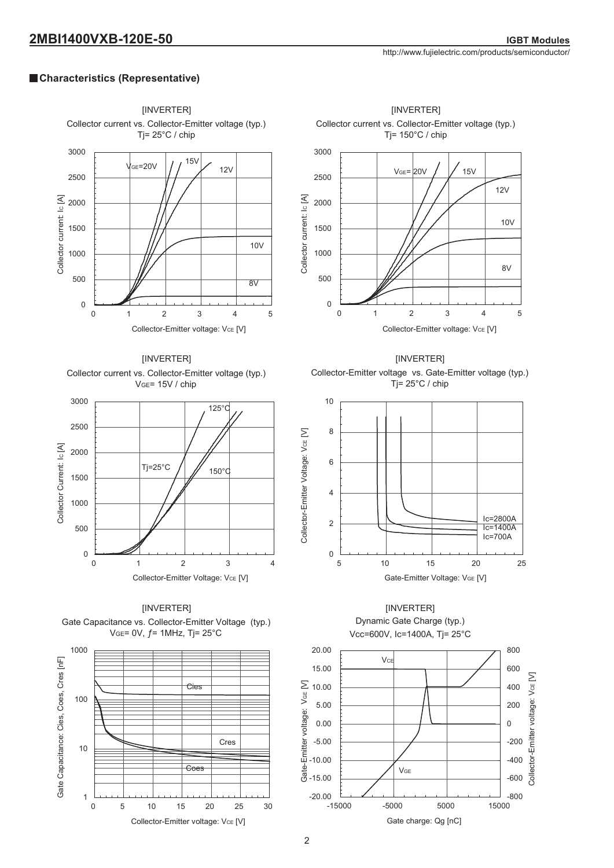# **Characteristics (Representative)**

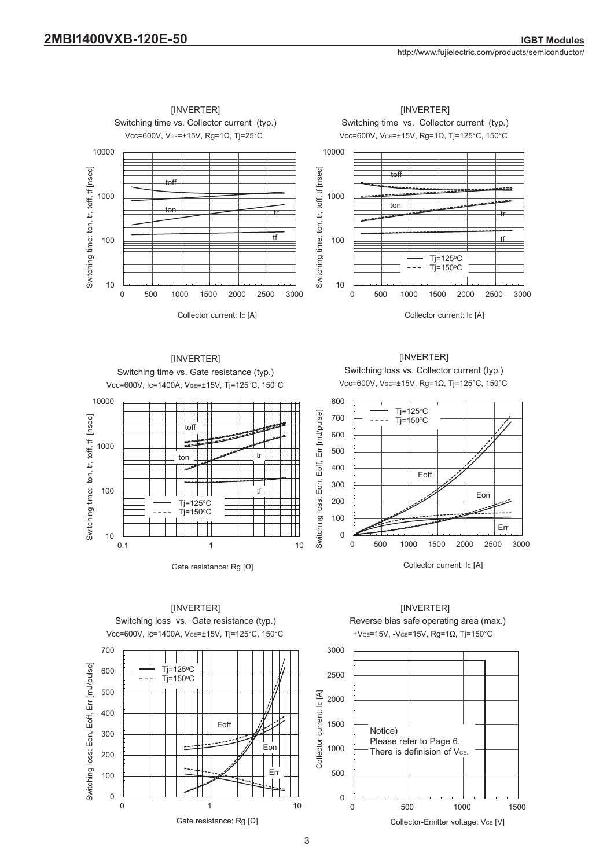

**IINVERTERI** Switching time vs. Gate resistance (typ.) Vcc=600V, Ic=1400A, VGE=±15V, Tj=125°C, 150°C



Switching loss vs. Collector current (typ.) Vcc=600V, VGE=±15V, Rg=1Ω, Tj=125°C, 150°C [INVERTER]







Gate resistance: Rg [Ω]

 $\sim$  3

[INVERTER]



[INVERTER]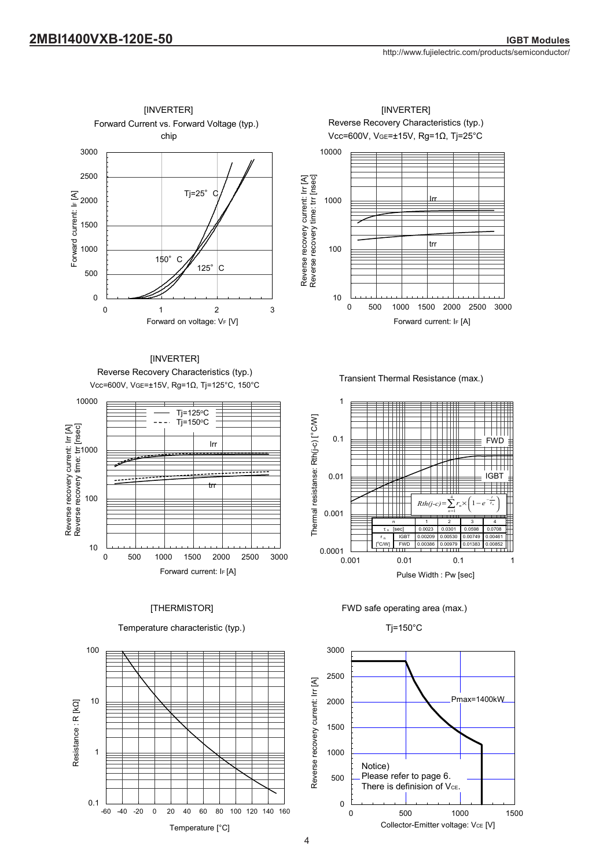





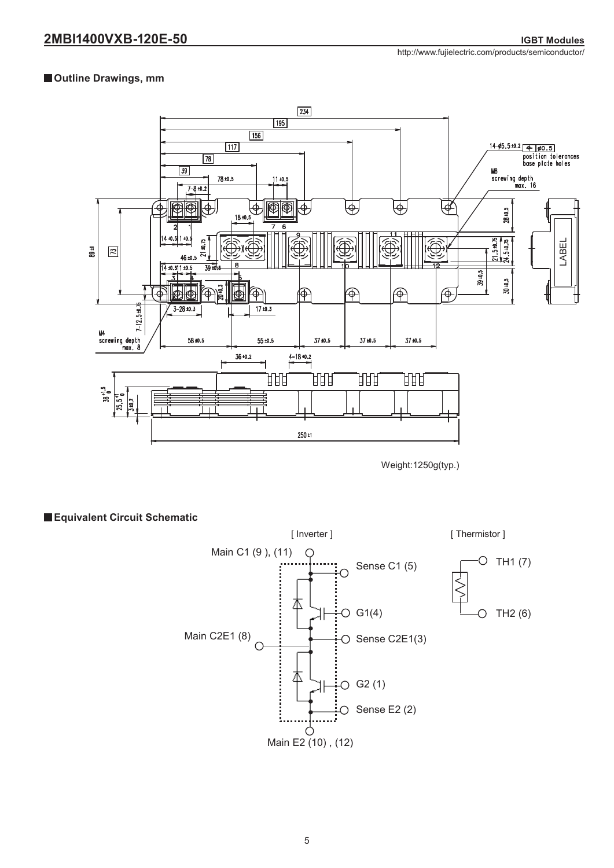http://www.fujielectric.com/products/semiconductor/

# **Outline Drawings, mm**



Weight:1250g(typ.)

# **Equivalent Circuit Schematic**

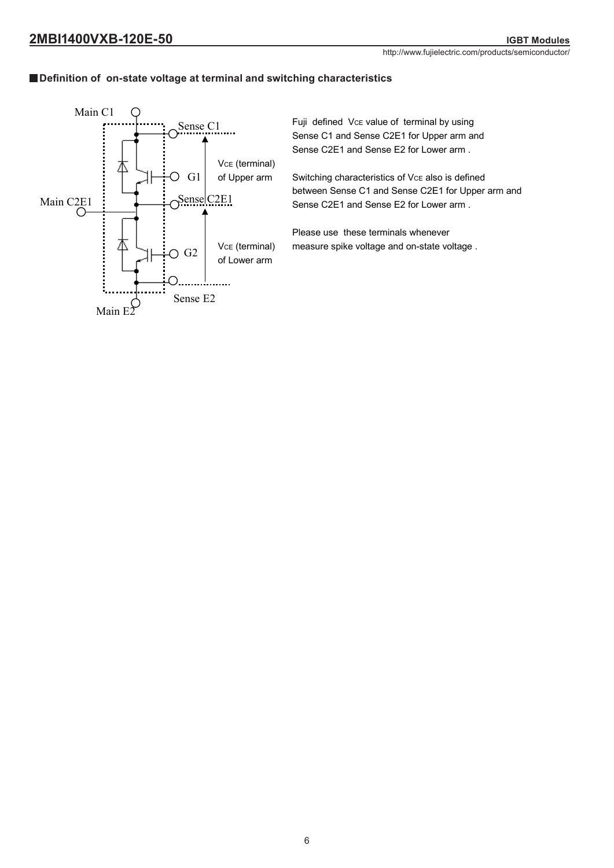# **Definition of on-state voltage at terminal and switching characteristics**